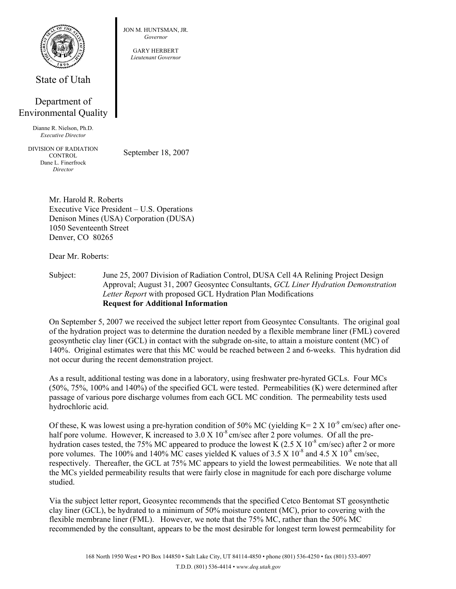

State of Utah

## Department of Environmental Quality

Dianne R. Nielson, Ph.D. *Executive Director* 

DIVISION OF RADIATION **CONTROL** Dane L. Finerfrock *Director* 

September 18, 2007

Mr. Harold R. Roberts Executive Vice President – U.S. Operations Denison Mines (USA) Corporation (DUSA) 1050 Seventeenth Street Denver, CO 80265

Dear Mr. Roberts:

Subject: June 25, 2007 Division of Radiation Control, DUSA Cell 4A Relining Project Design Approval; August 31, 2007 Geosyntec Consultants, *GCL Liner Hydration Demonstration Letter Report* with proposed GCL Hydration Plan Modifications **Request for Additional Information** 

On September 5, 2007 we received the subject letter report from Geosyntec Consultants. The original goal of the hydration project was to determine the duration needed by a flexible membrane liner (FML) covered geosynthetic clay liner (GCL) in contact with the subgrade on-site, to attain a moisture content (MC) of 140%. Original estimates were that this MC would be reached between 2 and 6-weeks. This hydration did not occur during the recent demonstration project.

As a result, additional testing was done in a laboratory, using freshwater pre-hyrated GCLs. Four MCs (50%, 75%, 100% and 140%) of the specified GCL were tested. Permeabilities (K) were determined after passage of various pore discharge volumes from each GCL MC condition. The permeability tests used hydrochloric acid.

Of these, K was lowest using a pre-hyration condition of 50% MC (yielding  $K = 2 X 10^{-9}$  cm/sec) after onehalf pore volume. However, K increased to  $3.0 \text{ X} 10^{-8}$  cm/sec after 2 pore volumes. Of all the prehydration cases tested, the 75% MC appeared to produce the lowest  $\hat{K}$  (2.5 X 10<sup>-8</sup> cm/sec) after 2 or more pore volumes. The 100% and 140% MC cases yielded K values of  $3.5 \times 10^{-8}$  and  $4.5 \times 10^{-8}$  cm/sec, respectively. Thereafter, the GCL at 75% MC appears to yield the lowest permeabilities. We note that all the MCs yielded permeability results that were fairly close in magnitude for each pore discharge volume studied.

Via the subject letter report, Geosyntec recommends that the specified Cetco Bentomat ST geosynthetic clay liner (GCL), be hydrated to a minimum of 50% moisture content (MC), prior to covering with the flexible membrane liner (FML). However, we note that the 75% MC, rather than the 50% MC recommended by the consultant, appears to be the most desirable for longest term lowest permeability for

JON M. HUNTSMAN, JR. *Governor* 

GARY HERBERT *Lieutenant Governor*